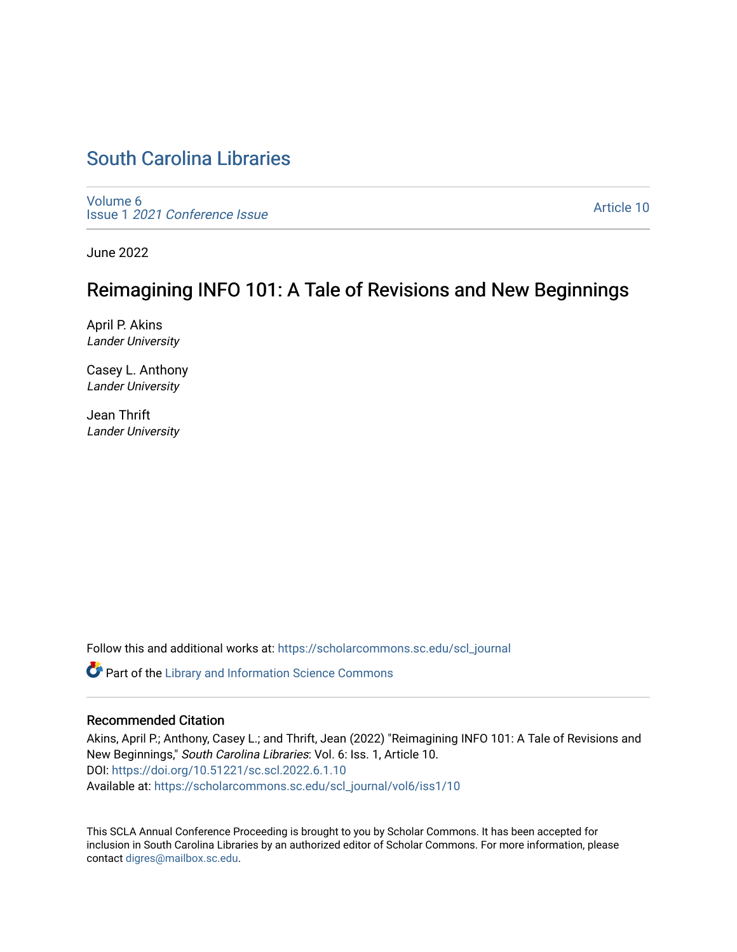# [South Carolina Libraries](https://scholarcommons.sc.edu/scl_journal)

[Volume 6](https://scholarcommons.sc.edu/scl_journal/vol6) Issue 1 [2021 Conference Issue](https://scholarcommons.sc.edu/scl_journal/vol6/iss1)

[Article 10](https://scholarcommons.sc.edu/scl_journal/vol6/iss1/10) 

June 2022

# Reimagining INFO 101: A Tale of Revisions and New Beginnings

April P. Akins Lander University

Casey L. Anthony Lander University

Jean Thrift Lander University

Follow this and additional works at: [https://scholarcommons.sc.edu/scl\\_journal](https://scholarcommons.sc.edu/scl_journal?utm_source=scholarcommons.sc.edu%2Fscl_journal%2Fvol6%2Fiss1%2F10&utm_medium=PDF&utm_campaign=PDFCoverPages) 

Part of the [Library and Information Science Commons](https://network.bepress.com/hgg/discipline/1018?utm_source=scholarcommons.sc.edu%2Fscl_journal%2Fvol6%2Fiss1%2F10&utm_medium=PDF&utm_campaign=PDFCoverPages) 

# Recommended Citation

Akins, April P.; Anthony, Casey L.; and Thrift, Jean (2022) "Reimagining INFO 101: A Tale of Revisions and New Beginnings," South Carolina Libraries: Vol. 6: Iss. 1, Article 10. DOI:<https://doi.org/10.51221/sc.scl.2022.6.1.10> Available at: [https://scholarcommons.sc.edu/scl\\_journal/vol6/iss1/10](https://scholarcommons.sc.edu/scl_journal/vol6/iss1/10?utm_source=scholarcommons.sc.edu%2Fscl_journal%2Fvol6%2Fiss1%2F10&utm_medium=PDF&utm_campaign=PDFCoverPages) 

This SCLA Annual Conference Proceeding is brought to you by Scholar Commons. It has been accepted for inclusion in South Carolina Libraries by an authorized editor of Scholar Commons. For more information, please contact [digres@mailbox.sc.edu.](mailto:digres@mailbox.sc.edu)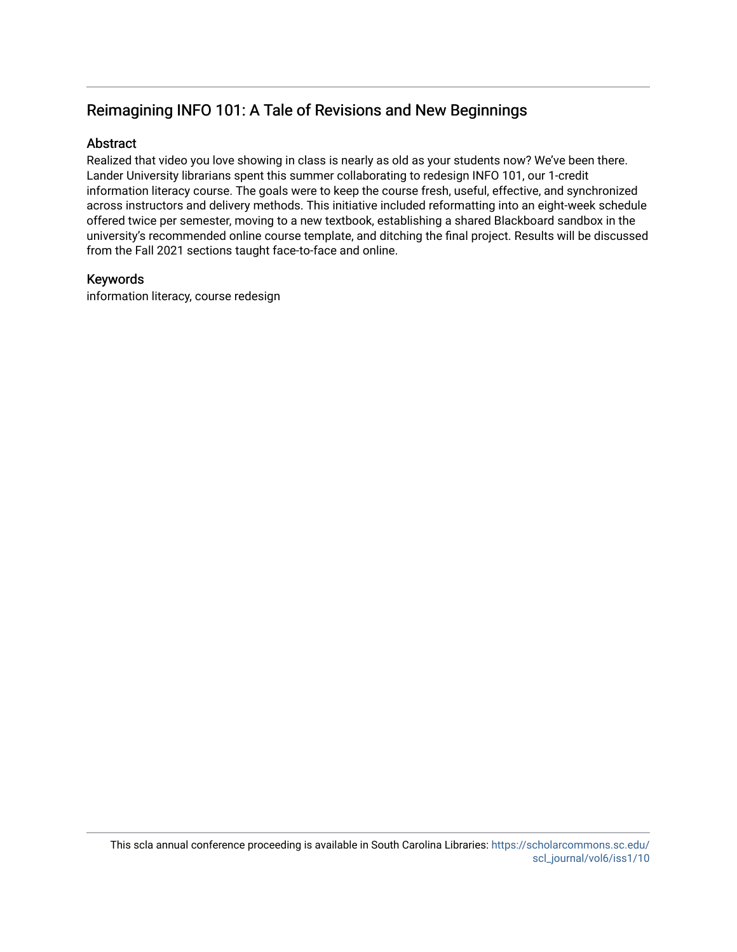# Reimagining INFO 101: A Tale of Revisions and New Beginnings

# **Abstract**

Realized that video you love showing in class is nearly as old as your students now? We've been there. Lander University librarians spent this summer collaborating to redesign INFO 101, our 1-credit information literacy course. The goals were to keep the course fresh, useful, effective, and synchronized across instructors and delivery methods. This initiative included reformatting into an eight-week schedule offered twice per semester, moving to a new textbook, establishing a shared Blackboard sandbox in the university's recommended online course template, and ditching the final project. Results will be discussed from the Fall 2021 sections taught face-to-face and online.

# Keywords

information literacy, course redesign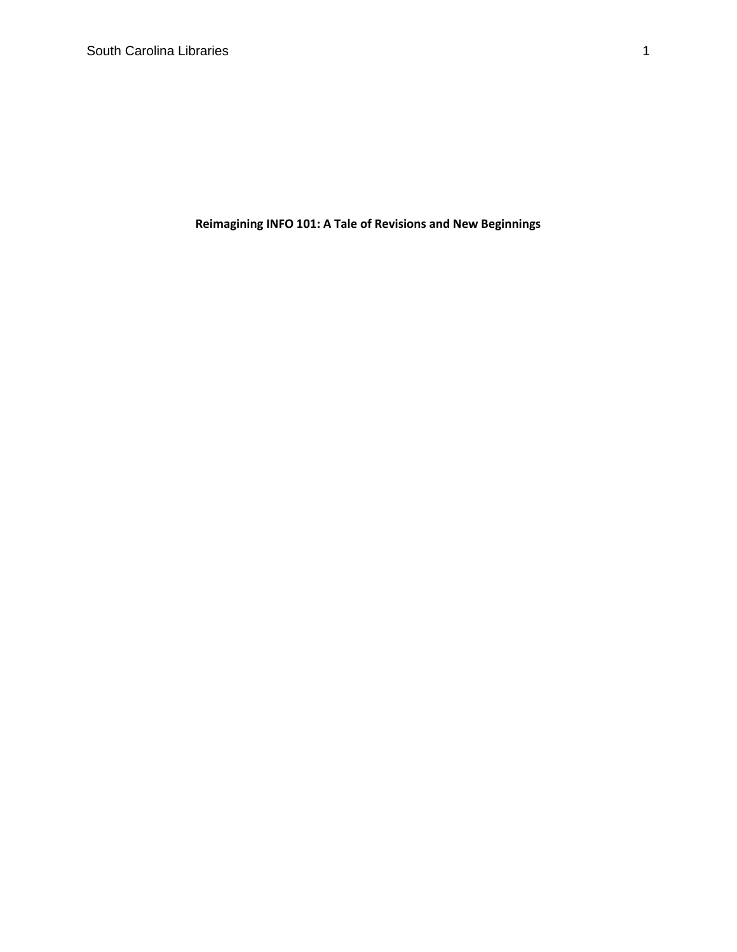**Reimagining INFO 101: A Tale of Revisions and New Beginnings**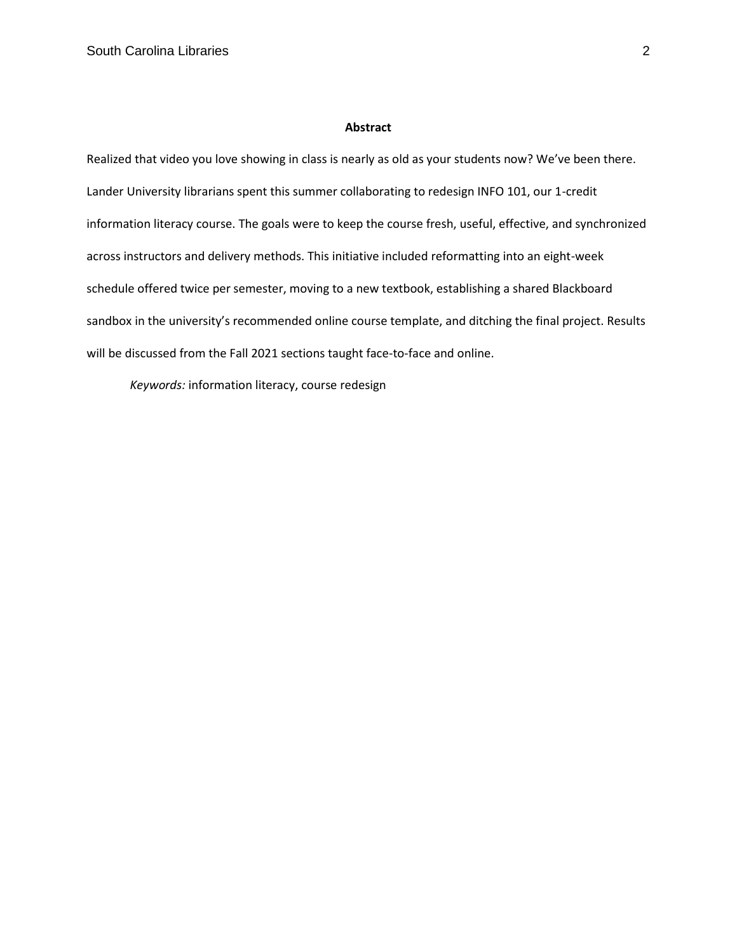#### **Abstract**

Realized that video you love showing in class is nearly as old as your students now? We've been there. Lander University librarians spent this summer collaborating to redesign INFO 101, our 1-credit information literacy course. The goals were to keep the course fresh, useful, effective, and synchronized across instructors and delivery methods. This initiative included reformatting into an eight-week schedule offered twice per semester, moving to a new textbook, establishing a shared Blackboard sandbox in the university's recommended online course template, and ditching the final project. Results will be discussed from the Fall 2021 sections taught face-to-face and online.

*Keywords:* information literacy, course redesign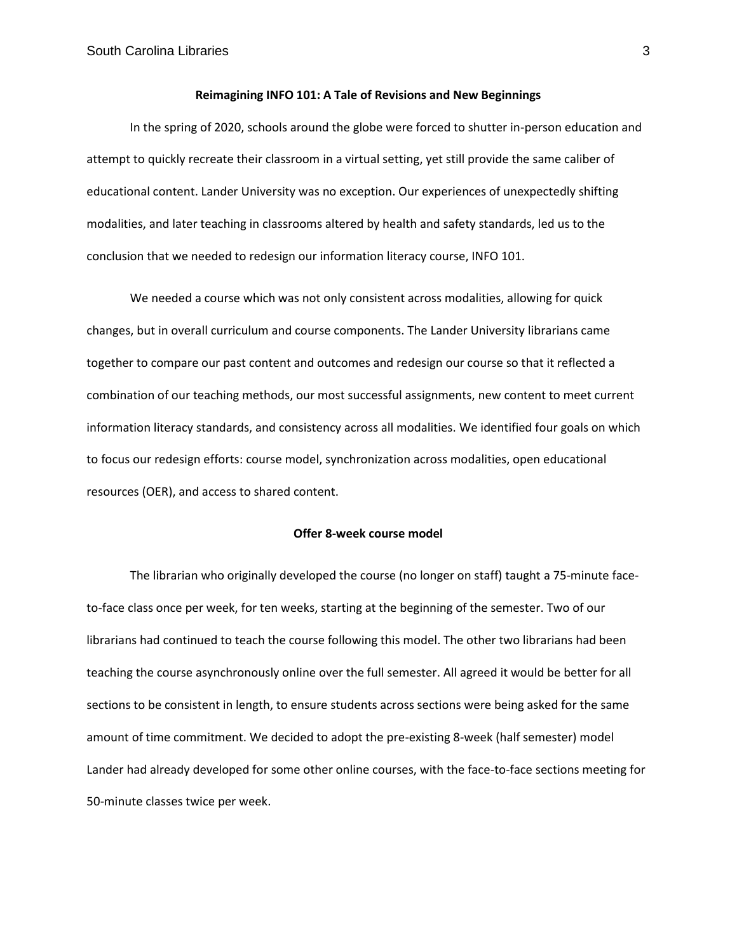#### **Reimagining INFO 101: A Tale of Revisions and New Beginnings**

In the spring of 2020, schools around the globe were forced to shutter in-person education and attempt to quickly recreate their classroom in a virtual setting, yet still provide the same caliber of educational content. Lander University was no exception. Our experiences of unexpectedly shifting modalities, and later teaching in classrooms altered by health and safety standards, led us to the conclusion that we needed to redesign our information literacy course, INFO 101.

We needed a course which was not only consistent across modalities, allowing for quick changes, but in overall curriculum and course components. The Lander University librarians came together to compare our past content and outcomes and redesign our course so that it reflected a combination of our teaching methods, our most successful assignments, new content to meet current information literacy standards, and consistency across all modalities. We identified four goals on which to focus our redesign efforts: course model, synchronization across modalities, open educational resources (OER), and access to shared content.

#### **Offer 8-week course model**

The librarian who originally developed the course (no longer on staff) taught a 75-minute faceto-face class once per week, for ten weeks, starting at the beginning of the semester. Two of our librarians had continued to teach the course following this model. The other two librarians had been teaching the course asynchronously online over the full semester. All agreed it would be better for all sections to be consistent in length, to ensure students across sections were being asked for the same amount of time commitment. We decided to adopt the pre-existing 8-week (half semester) model Lander had already developed for some other online courses, with the face-to-face sections meeting for 50-minute classes twice per week.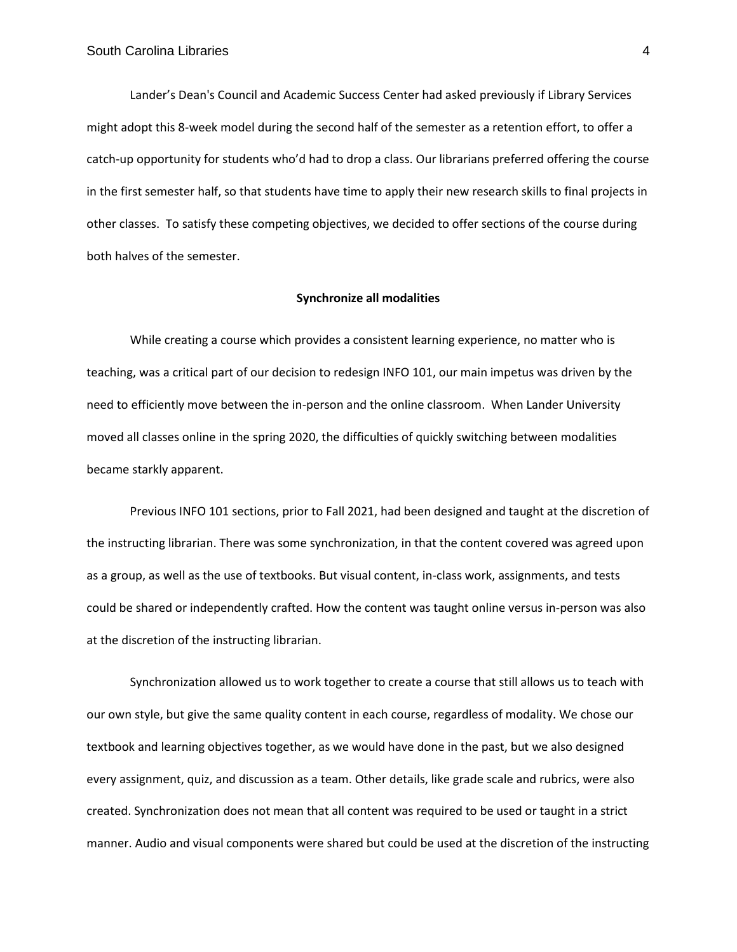Lander's Dean's Council and Academic Success Center had asked previously if Library Services might adopt this 8-week model during the second half of the semester as a retention effort, to offer a catch-up opportunity for students who'd had to drop a class. Our librarians preferred offering the course in the first semester half, so that students have time to apply their new research skills to final projects in other classes. To satisfy these competing objectives, we decided to offer sections of the course during both halves of the semester.

#### **Synchronize all modalities**

While creating a course which provides a consistent learning experience, no matter who is teaching, was a critical part of our decision to redesign INFO 101, our main impetus was driven by the need to efficiently move between the in-person and the online classroom. When Lander University moved all classes online in the spring 2020, the difficulties of quickly switching between modalities became starkly apparent.

Previous INFO 101 sections, prior to Fall 2021, had been designed and taught at the discretion of the instructing librarian. There was some synchronization, in that the content covered was agreed upon as a group, as well as the use of textbooks. But visual content, in-class work, assignments, and tests could be shared or independently crafted. How the content was taught online versus in-person was also at the discretion of the instructing librarian.

Synchronization allowed us to work together to create a course that still allows us to teach with our own style, but give the same quality content in each course, regardless of modality. We chose our textbook and learning objectives together, as we would have done in the past, but we also designed every assignment, quiz, and discussion as a team. Other details, like grade scale and rubrics, were also created. Synchronization does not mean that all content was required to be used or taught in a strict manner. Audio and visual components were shared but could be used at the discretion of the instructing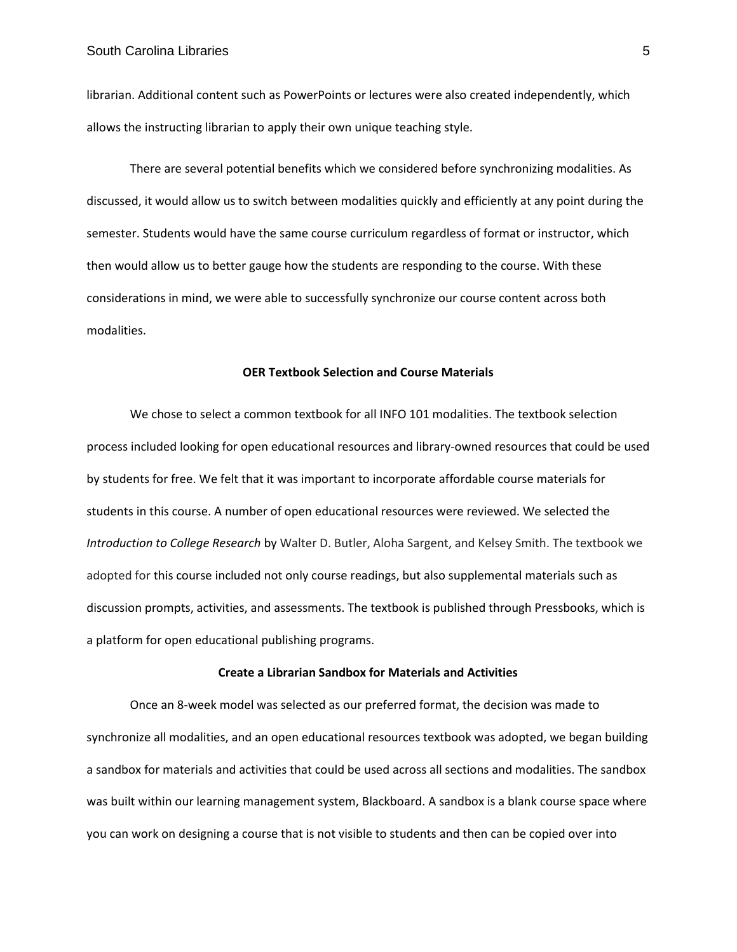librarian. Additional content such as PowerPoints or lectures were also created independently, which allows the instructing librarian to apply their own unique teaching style.

There are several potential benefits which we considered before synchronizing modalities. As discussed, it would allow us to switch between modalities quickly and efficiently at any point during the semester. Students would have the same course curriculum regardless of format or instructor, which then would allow us to better gauge how the students are responding to the course. With these considerations in mind, we were able to successfully synchronize our course content across both modalities.

## **OER Textbook Selection and Course Materials**

We chose to select a common textbook for all INFO 101 modalities. The textbook selection process included looking for open educational resources and library-owned resources that could be used by students for free. We felt that it was important to incorporate affordable course materials for students in this course. A number of open educational resources were reviewed. We selected the *Introduction to College Research* by Walter D. Butler, Aloha Sargent, and Kelsey Smith. The textbook we adopted for this course included not only course readings, but also supplemental materials such as discussion prompts, activities, and assessments. The textbook is published through Pressbooks, which is a platform for open educational publishing programs.

## **Create a Librarian Sandbox for Materials and Activities**

Once an 8-week model was selected as our preferred format, the decision was made to synchronize all modalities, and an open educational resources textbook was adopted, we began building a sandbox for materials and activities that could be used across all sections and modalities. The sandbox was built within our learning management system, Blackboard. A sandbox is a blank course space where you can work on designing a course that is not visible to students and then can be copied over into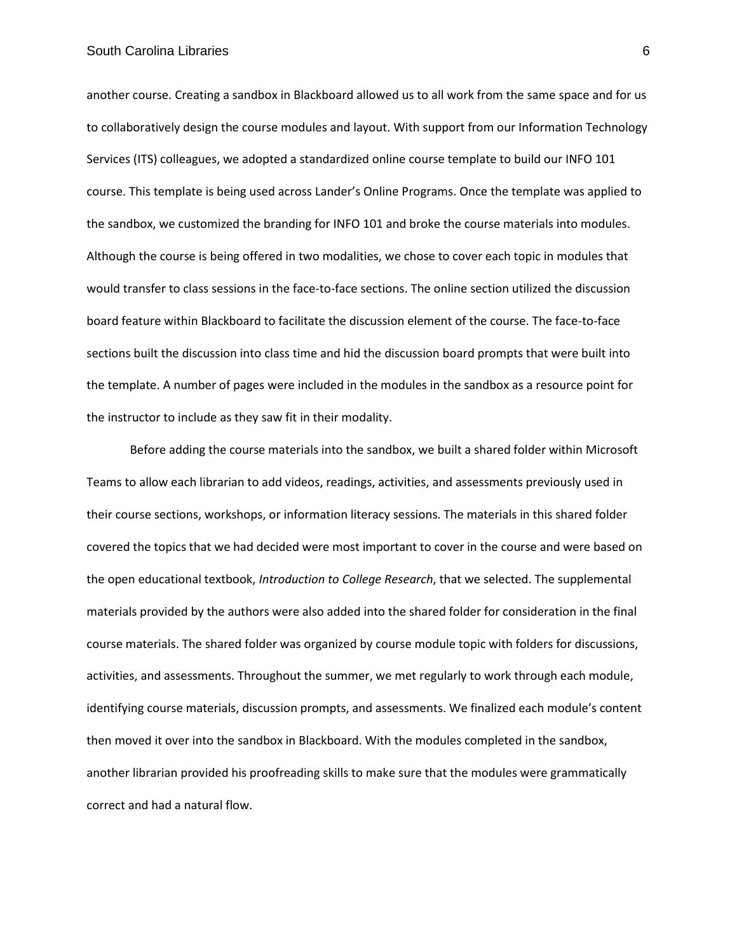### South Carolina Libraries 6

another course. Creating a sandbox in Blackboard allowed us to all work from the same space and for us to collaboratively design the course modules and layout. With support from our Information Technology Services (ITS) colleagues, we adopted a standardized online course template to build our INFO 101 course. This template is being used across Lander's Online Programs. Once the template was applied to the sandbox, we customized the branding for INFO 101 and broke the course materials into modules. Although the course is being offered in two modalities, we chose to cover each topic in modules that would transfer to class sessions in the face-to-face sections. The online section utilized the discussion board feature within Blackboard to facilitate the discussion element of the course. The face-to-face sections built the discussion into class time and hid the discussion board prompts that were built into the template. A number of pages were included in the modules in the sandbox as a resource point for the instructor to include as they saw fit in their modality.

Before adding the course materials into the sandbox, we built a shared folder within Microsoft Teams to allow each librarian to add videos, readings, activities, and assessments previously used in their course sections, workshops, or information literacy sessions. The materials in this shared folder covered the topics that we had decided were most important to cover in the course and were based on the open educational textbook, *Introduction to College Research*, that we selected. The supplemental materials provided by the authors were also added into the shared folder for consideration in the final course materials. The shared folder was organized by course module topic with folders for discussions, activities, and assessments. Throughout the summer, we met regularly to work through each module, identifying course materials, discussion prompts, and assessments. We finalized each module's content then moved it over into the sandbox in Blackboard. With the modules completed in the sandbox, another librarian provided his proofreading skills to make sure that the modules were grammatically correct and had a natural flow.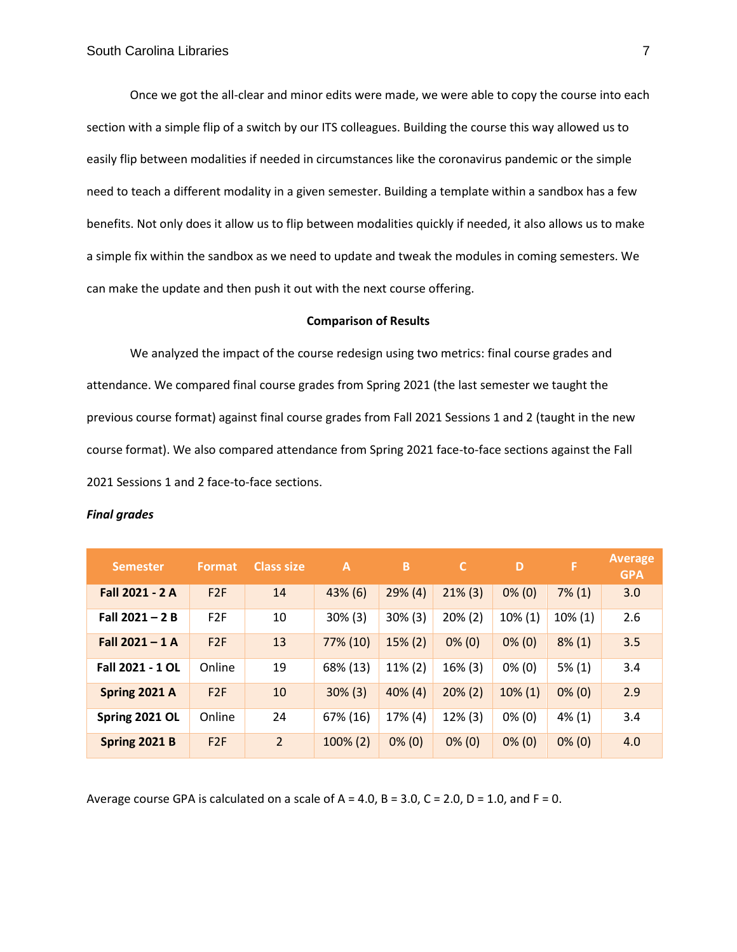Once we got the all-clear and minor edits were made, we were able to copy the course into each section with a simple flip of a switch by our ITS colleagues. Building the course this way allowed us to easily flip between modalities if needed in circumstances like the coronavirus pandemic or the simple need to teach a different modality in a given semester. Building a template within a sandbox has a few benefits. Not only does it allow us to flip between modalities quickly if needed, it also allows us to make a simple fix within the sandbox as we need to update and tweak the modules in coming semesters. We can make the update and then push it out with the next course offering.

### **Comparison of Results**

We analyzed the impact of the course redesign using two metrics: final course grades and attendance. We compared final course grades from Spring 2021 (the last semester we taught the previous course format) against final course grades from Fall 2021 Sessions 1 and 2 (taught in the new course format). We also compared attendance from Spring 2021 face-to-face sections against the Fall 2021 Sessions 1 and 2 face-to-face sections.

#### *Final grades*

| <b>Semester</b>         | <b>Format</b> | <b>Class size</b> | A           | B'         | C          | D          | F          | <b>Average</b><br><b>GPA</b> |
|-------------------------|---------------|-------------------|-------------|------------|------------|------------|------------|------------------------------|
| Fall 2021 - 2 A         | F2F           | 14                | $43\%$ (6)  | $29\%$ (4) | $21\%$ (3) | $0\%$ (0)  | $7\%$ (1)  | 3.0                          |
| Fall $2021 - 2B$        | F2F           | 10                | $30\%$ (3)  | $30\%$ (3) | $20\% (2)$ | $10\%$ (1) | $10\% (1)$ | 2.6                          |
| Fall $2021 - 1$ A       | F2F           | 13                | 77% (10)    | $15\% (2)$ | $0\%$ (0)  | $0\%$ (0)  | $8\%$ (1)  | 3.5                          |
| <b>Fall 2021 - 1 OL</b> | Online        | 19                | 68% (13)    | $11\% (2)$ | 16% (3)    | $0\%$ (0)  | $5\%$ (1)  | 3.4                          |
| Spring 2021 A           | F2F           | 10                | $30\%$ (3)  | $40\%$ (4) | $20\%$ (2) | $10\% (1)$ | $0\%$ (0)  | 2.9                          |
| Spring 2021 OL          | Online        | 24                | 67% (16)    | 17% (4)    | $12\%$ (3) | $0\%$ (0)  | $4\%$ (1)  | 3.4                          |
| Spring 2021 B           | F2F           | $\overline{2}$    | $100\%$ (2) | $0\%$ (0)  | $0\%$ (0)  | $0\%$ (0)  | $0\%$ (0)  | 4.0                          |

Average course GPA is calculated on a scale of  $A = 4.0$ ,  $B = 3.0$ ,  $C = 2.0$ ,  $D = 1.0$ , and  $F = 0$ .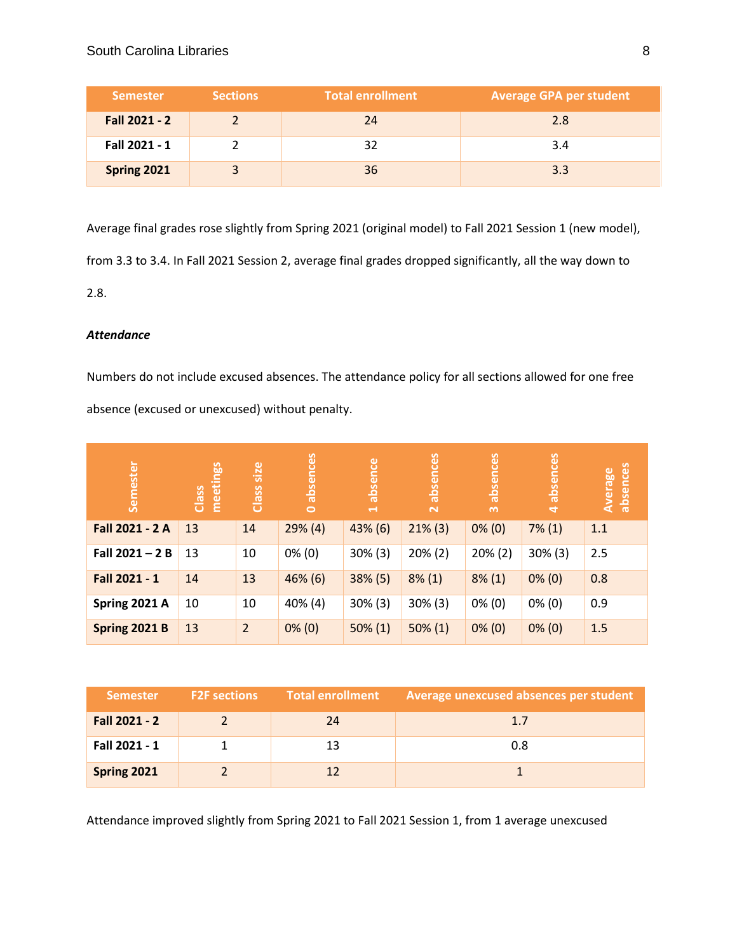| <b>Semester</b>    | <b>Sections</b> | <b>Total enrollment</b> | <b>Average GPA per student</b> |
|--------------------|-----------------|-------------------------|--------------------------------|
| Fall 2021 - 2      |                 | 24                      | 2.8                            |
| Fall 2021 - 1      |                 |                         | 3.4                            |
| <b>Spring 2021</b> |                 | 36                      | 3.3                            |

Average final grades rose slightly from Spring 2021 (original model) to Fall 2021 Session 1 (new model),

from 3.3 to 3.4. In Fall 2021 Session 2, average final grades dropped significantly, all the way down to

2.8.

# *Attendance*

Numbers do not include excused absences. The attendance policy for all sections allowed for one free

absence (excused or unexcused) without penalty.

| Semester             | meetings<br>Class | size<br>Class  | absences<br>$\circ$ | absence<br>$\rightarrow$ | absences<br>$\mathbf{\tilde{z}}$ | absences<br>$\infty$ | absences<br>$\overline{a}$ | absences<br>Average |
|----------------------|-------------------|----------------|---------------------|--------------------------|----------------------------------|----------------------|----------------------------|---------------------|
| Fall 2021 - 2 A      | 13                | 14             | $29\%$ (4)          | 43% (6)                  | $21\%$ (3)                       | $0\%$ (0)            | $7\%$ (1)                  | 1.1                 |
| Fall $2021 - 2B$     | 13                | 10             | $0\%$ (0)           | $30\%$ (3)               | $20\% (2)$                       | $20\% (2)$           | $30\%$ (3)                 | 2.5                 |
| Fall 2021 - 1        | 14                | 13             | 46% (6)             | $38\%$ (5)               | $8\%$ (1)                        | $8\%$ (1)            | $0\%$ (0)                  | 0.8                 |
| Spring 2021 A        | 10                | 10             | 40% (4)             | $30\%$ (3)               | $30\%$ (3)                       | $0\%$ (0)            | $0\%$ (0)                  | 0.9                 |
| <b>Spring 2021 B</b> | 13                | $\overline{2}$ | $0\%$ (0)           | $50\% (1)$               | $50\% (1)$                       | $0\%$ (0)            | $0\%$ (0)                  | 1.5                 |

| <b>Semester</b> | <b>F2F</b> sections | <b>Total enrollment</b> | Average unexcused absences per student |
|-----------------|---------------------|-------------------------|----------------------------------------|
| Fall 2021 - 2   |                     | 24                      | 1.7                                    |
| Fall 2021 - 1   |                     |                         | 0.8                                    |
| Spring 2021     |                     |                         |                                        |

Attendance improved slightly from Spring 2021 to Fall 2021 Session 1, from 1 average unexcused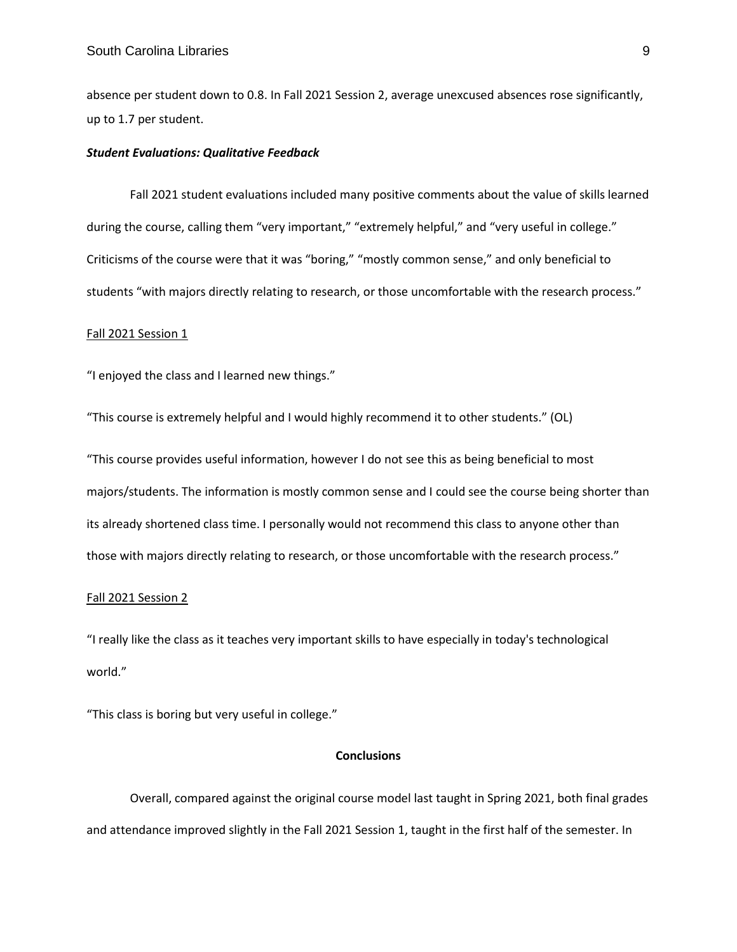absence per student down to 0.8. In Fall 2021 Session 2, average unexcused absences rose significantly, up to 1.7 per student.

## *Student Evaluations: Qualitative Feedback*

Fall 2021 student evaluations included many positive comments about the value of skills learned during the course, calling them "very important," "extremely helpful," and "very useful in college." Criticisms of the course were that it was "boring," "mostly common sense," and only beneficial to students "with majors directly relating to research, or those uncomfortable with the research process."

## Fall 2021 Session 1

"I enjoyed the class and I learned new things."

"This course is extremely helpful and I would highly recommend it to other students." (OL)

"This course provides useful information, however I do not see this as being beneficial to most majors/students. The information is mostly common sense and I could see the course being shorter than its already shortened class time. I personally would not recommend this class to anyone other than those with majors directly relating to research, or those uncomfortable with the research process."

## Fall 2021 Session 2

"I really like the class as it teaches very important skills to have especially in today's technological world."

"This class is boring but very useful in college."

## **Conclusions**

Overall, compared against the original course model last taught in Spring 2021, both final grades and attendance improved slightly in the Fall 2021 Session 1, taught in the first half of the semester. In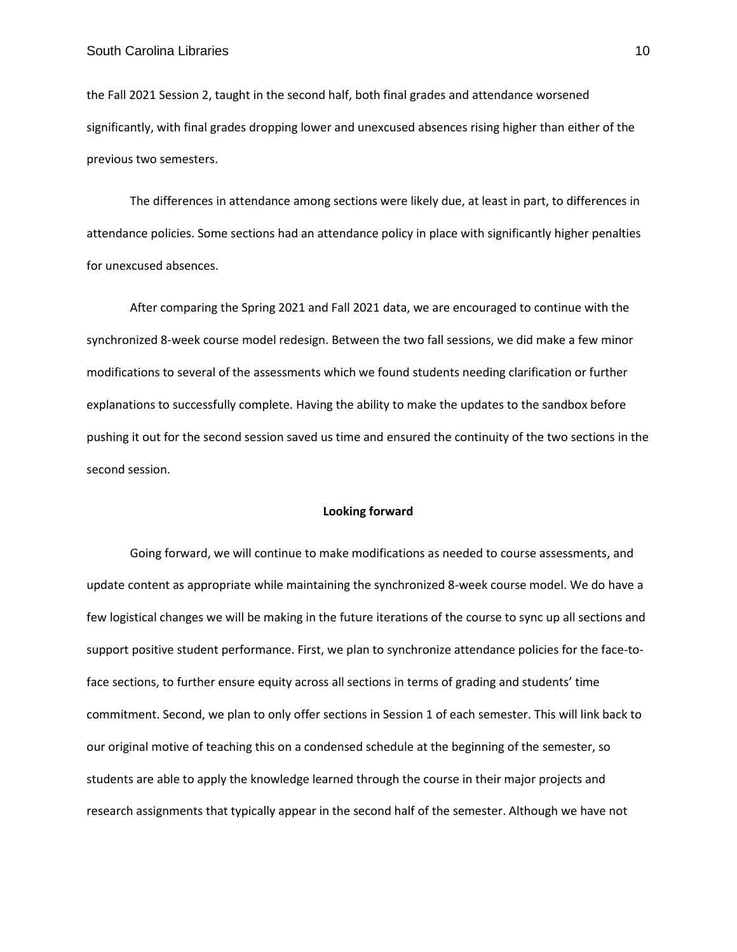the Fall 2021 Session 2, taught in the second half, both final grades and attendance worsened significantly, with final grades dropping lower and unexcused absences rising higher than either of the previous two semesters.

The differences in attendance among sections were likely due, at least in part, to differences in attendance policies. Some sections had an attendance policy in place with significantly higher penalties for unexcused absences.

After comparing the Spring 2021 and Fall 2021 data, we are encouraged to continue with the synchronized 8-week course model redesign. Between the two fall sessions, we did make a few minor modifications to several of the assessments which we found students needing clarification or further explanations to successfully complete. Having the ability to make the updates to the sandbox before pushing it out for the second session saved us time and ensured the continuity of the two sections in the second session.

## **Looking forward**

Going forward, we will continue to make modifications as needed to course assessments, and update content as appropriate while maintaining the synchronized 8-week course model. We do have a few logistical changes we will be making in the future iterations of the course to sync up all sections and support positive student performance. First, we plan to synchronize attendance policies for the face-toface sections, to further ensure equity across all sections in terms of grading and students' time commitment. Second, we plan to only offer sections in Session 1 of each semester. This will link back to our original motive of teaching this on a condensed schedule at the beginning of the semester, so students are able to apply the knowledge learned through the course in their major projects and research assignments that typically appear in the second half of the semester. Although we have not